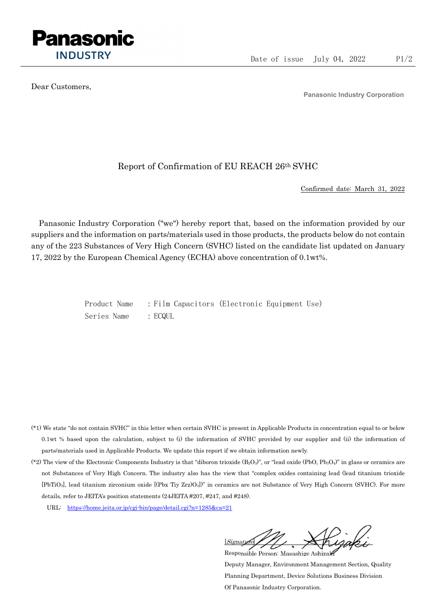

Dear Customers,

Panasonic Industry Corporation

## Report of Confirmation of EU REACH 26th SVHC

Confirmed date: March 31, 2022

Panasonic Industry Corporation ("we") hereby report that, based on the information provided by our suppliers and the information on parts/materials used in those products, the products below do not contain any of the 223 Substances of Very High Concern (SVHC) listed on the candidate list updated on January 17, 2022 by the European Chemical Agency (ECHA) above concentration of 0.1wt%.

> Product Name : Film Capacitors (Electronic Equipment Use) Series Name : ECQUL

- (\*1) We state "do not contain SVHC" in this letter when certain SVHC is present in Applicable Products in concentration equal to or below 0.1wt % based upon the calculation, subject to (i) the information of SVHC provided by our supplier and (ii) the information of parts/materials used in Applicable Products. We update this report if we obtain information newly.
- (\*2) The view of the Electronic Components Industry is that "diboron trioxide  $(B_2O_3)$ ", or "lead oxide (PbO, Pb<sub>3</sub>O<sub>4</sub>)" in glass or ceramics are not Substances of Very High Concern. The industry also has the view that "complex oxides containing lead (lead titanium trioxide [PbTiO3], lead titanium zirconium oxide [(Pbx Tiy Zrz)O3])" in ceramics are not Substance of Very High Concern (SVHC). For more details, refer to JEITA's position statements (24JEITA #207, #247, and #248).
	- URL: https://home.jeita.or.jp/cgi-bin/page/detail.cgi?n=1285&ca=21

[Signature] Responsible Person: Masashige Ashizaki

Deputy Manager, Environment Management Section, Quality Planning Department, Device Solutions Business Division Of Panasonic Industry Corporation.